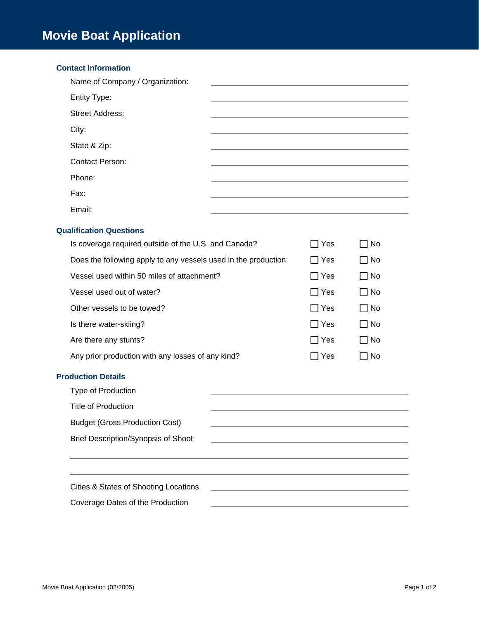## **Contact Information**

| Name of Company / Organization: |  |
|---------------------------------|--|
| <b>Entity Type:</b>             |  |
| <b>Street Address:</b>          |  |
| City:                           |  |
| State & Zip:                    |  |
| <b>Contact Person:</b>          |  |
| Phone:                          |  |
| Fax:                            |  |
| Email:                          |  |

## **Qualification Questions**

| Is coverage required outside of the U.S. and Canada?            | Yes        | 1 No         |
|-----------------------------------------------------------------|------------|--------------|
| Does the following apply to any vessels used in the production: | l IYes     | ∃ No         |
| Vessel used within 50 miles of attachment?                      | l IYes     | ∣ No         |
| Vessel used out of water?                                       | IYes       | No           |
| Other vessels to be towed?                                      | IYes       | No           |
| Is there water-skiing?                                          | $\Box$ Yes | ∏ No         |
| Are there any stunts?                                           | IYes       | $\exists$ No |
| Any prior production with any losses of any kind?               | Yes        | No           |

## **Production Details**

| Type of Production                         |  |
|--------------------------------------------|--|
| <b>Title of Production</b>                 |  |
| <b>Budget (Gross Production Cost)</b>      |  |
| <b>Brief Description/Synopsis of Shoot</b> |  |
|                                            |  |
|                                            |  |
| Cities & States of Shooting Locations      |  |
| Coverage Dates of the Production           |  |